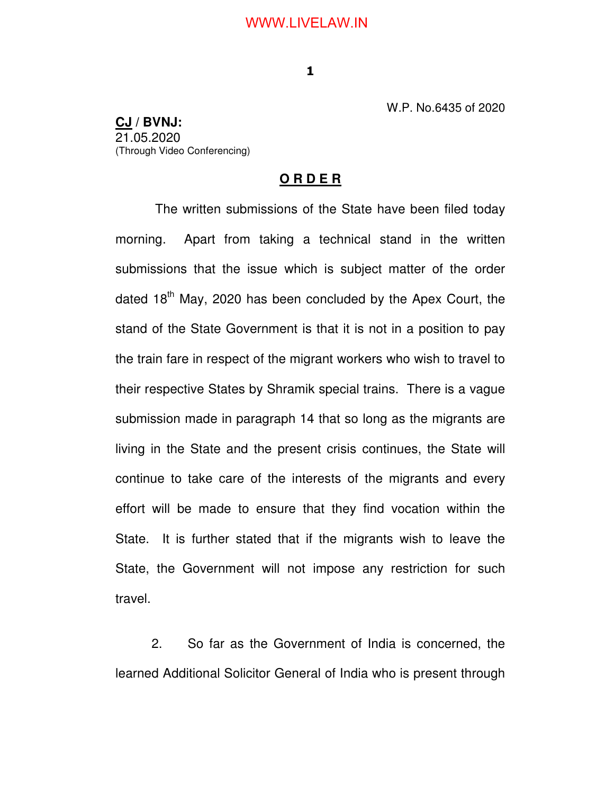**1** 

W.P. No.6435 of 2020

**CJ / BVNJ:** 21.05.2020 (Through Video Conferencing)

#### **O R D E R**

 The written submissions of the State have been filed today morning. Apart from taking a technical stand in the written submissions that the issue which is subject matter of the order dated 18<sup>th</sup> May, 2020 has been concluded by the Apex Court, the stand of the State Government is that it is not in a position to pay the train fare in respect of the migrant workers who wish to travel to their respective States by Shramik special trains. There is a vague submission made in paragraph 14 that so long as the migrants are living in the State and the present crisis continues, the State will continue to take care of the interests of the migrants and every effort will be made to ensure that they find vocation within the State. It is further stated that if the migrants wish to leave the State, the Government will not impose any restriction for such travel.

2. So far as the Government of India is concerned, the learned Additional Solicitor General of India who is present through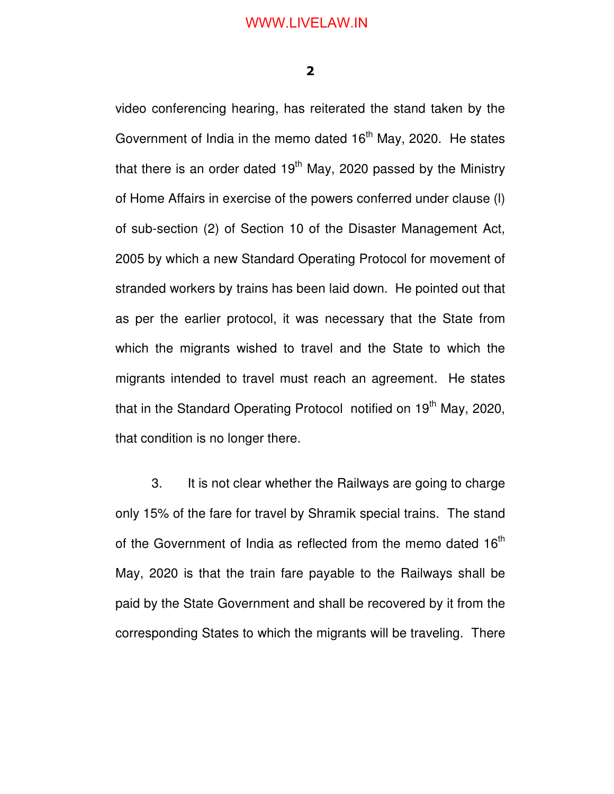**2** 

video conferencing hearing, has reiterated the stand taken by the Government of India in the memo dated 16<sup>th</sup> May, 2020. He states that there is an order dated  $19<sup>th</sup>$  May, 2020 passed by the Ministry of Home Affairs in exercise of the powers conferred under clause (l) of sub-section (2) of Section 10 of the Disaster Management Act, 2005 by which a new Standard Operating Protocol for movement of stranded workers by trains has been laid down. He pointed out that as per the earlier protocol, it was necessary that the State from which the migrants wished to travel and the State to which the migrants intended to travel must reach an agreement. He states that in the Standard Operating Protocol notified on 19<sup>th</sup> May, 2020, that condition is no longer there.

3. It is not clear whether the Railways are going to charge only 15% of the fare for travel by Shramik special trains. The stand of the Government of India as reflected from the memo dated  $16<sup>th</sup>$ May, 2020 is that the train fare payable to the Railways shall be paid by the State Government and shall be recovered by it from the corresponding States to which the migrants will be traveling. There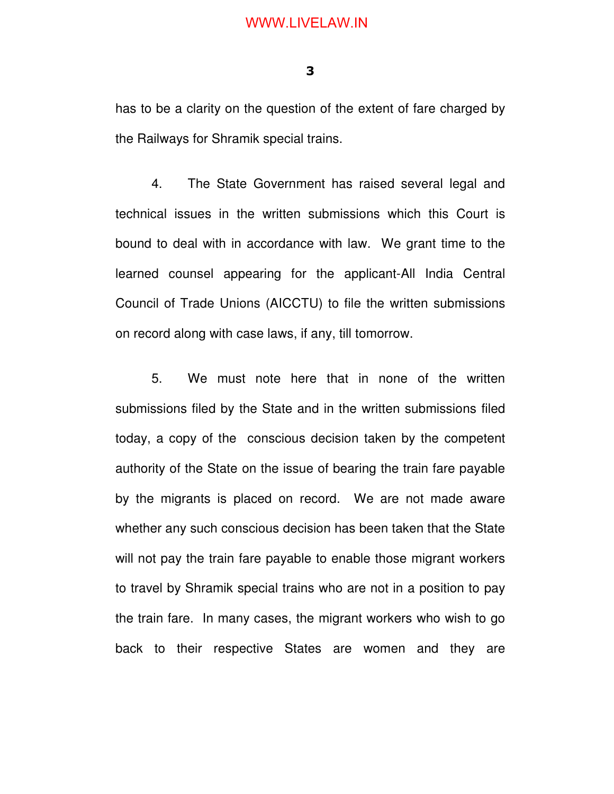**3** 

has to be a clarity on the question of the extent of fare charged by the Railways for Shramik special trains.

4. The State Government has raised several legal and technical issues in the written submissions which this Court is bound to deal with in accordance with law. We grant time to the learned counsel appearing for the applicant-All India Central Council of Trade Unions (AICCTU) to file the written submissions on record along with case laws, if any, till tomorrow.

5. We must note here that in none of the written submissions filed by the State and in the written submissions filed today, a copy of the conscious decision taken by the competent authority of the State on the issue of bearing the train fare payable by the migrants is placed on record. We are not made aware whether any such conscious decision has been taken that the State will not pay the train fare payable to enable those migrant workers to travel by Shramik special trains who are not in a position to pay the train fare. In many cases, the migrant workers who wish to go back to their respective States are women and they are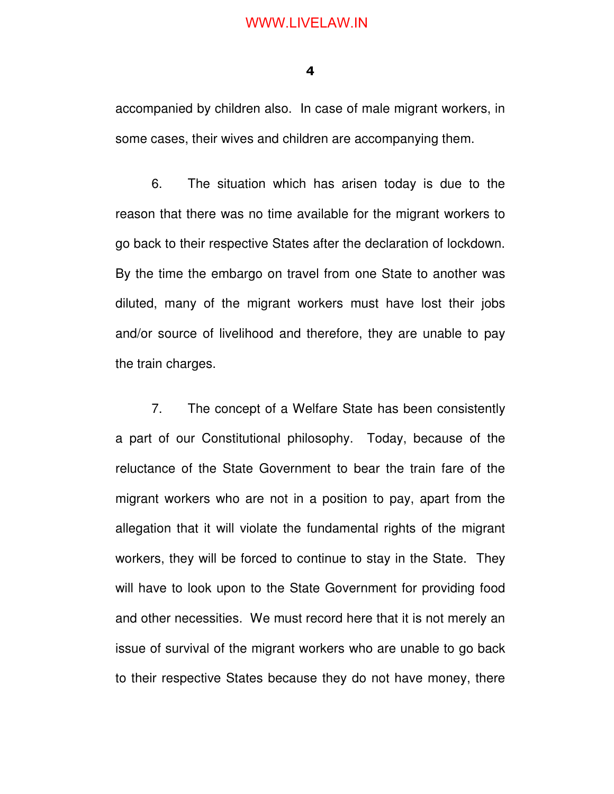**4** 

accompanied by children also. In case of male migrant workers, in some cases, their wives and children are accompanying them.

6. The situation which has arisen today is due to the reason that there was no time available for the migrant workers to go back to their respective States after the declaration of lockdown. By the time the embargo on travel from one State to another was diluted, many of the migrant workers must have lost their jobs and/or source of livelihood and therefore, they are unable to pay the train charges.

7. The concept of a Welfare State has been consistently a part of our Constitutional philosophy. Today, because of the reluctance of the State Government to bear the train fare of the migrant workers who are not in a position to pay, apart from the allegation that it will violate the fundamental rights of the migrant workers, they will be forced to continue to stay in the State. They will have to look upon to the State Government for providing food and other necessities. We must record here that it is not merely an issue of survival of the migrant workers who are unable to go back to their respective States because they do not have money, there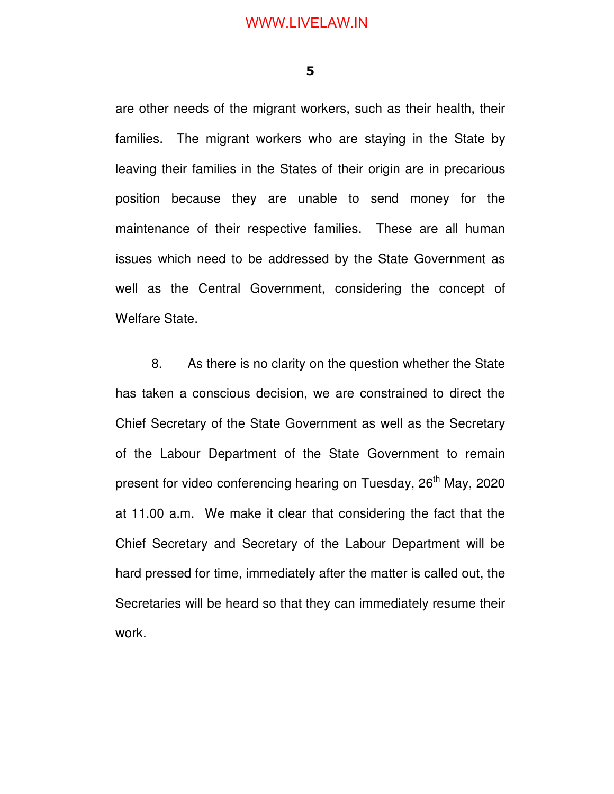**5** 

are other needs of the migrant workers, such as their health, their families. The migrant workers who are staying in the State by leaving their families in the States of their origin are in precarious position because they are unable to send money for the maintenance of their respective families. These are all human issues which need to be addressed by the State Government as well as the Central Government, considering the concept of Welfare State.

8. As there is no clarity on the question whether the State has taken a conscious decision, we are constrained to direct the Chief Secretary of the State Government as well as the Secretary of the Labour Department of the State Government to remain present for video conferencing hearing on Tuesday, 26<sup>th</sup> May, 2020 at 11.00 a.m. We make it clear that considering the fact that the Chief Secretary and Secretary of the Labour Department will be hard pressed for time, immediately after the matter is called out, the Secretaries will be heard so that they can immediately resume their work.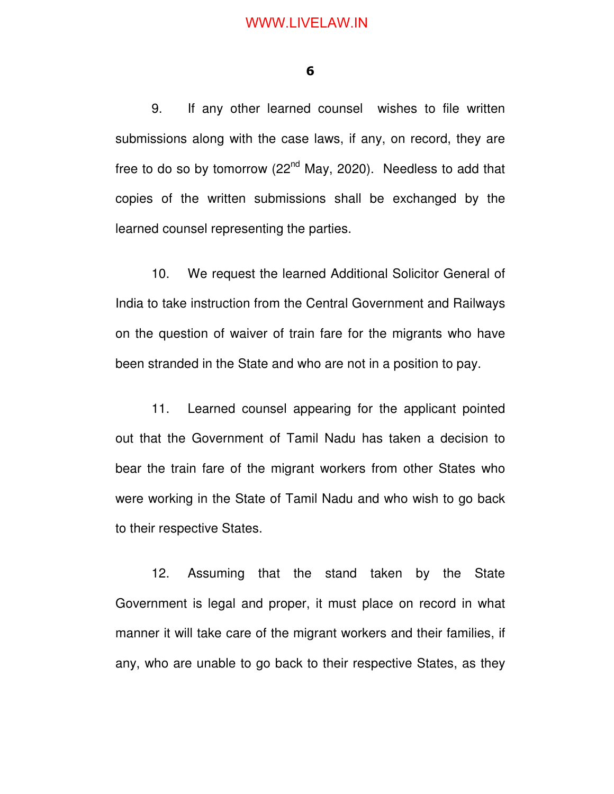**6** 

9. If any other learned counsel wishes to file written submissions along with the case laws, if any, on record, they are free to do so by tomorrow  $(22^{nd}$  May, 2020). Needless to add that copies of the written submissions shall be exchanged by the learned counsel representing the parties.

10. We request the learned Additional Solicitor General of India to take instruction from the Central Government and Railways on the question of waiver of train fare for the migrants who have been stranded in the State and who are not in a position to pay.

11. Learned counsel appearing for the applicant pointed out that the Government of Tamil Nadu has taken a decision to bear the train fare of the migrant workers from other States who were working in the State of Tamil Nadu and who wish to go back to their respective States.

12. Assuming that the stand taken by the State Government is legal and proper, it must place on record in what manner it will take care of the migrant workers and their families, if any, who are unable to go back to their respective States, as they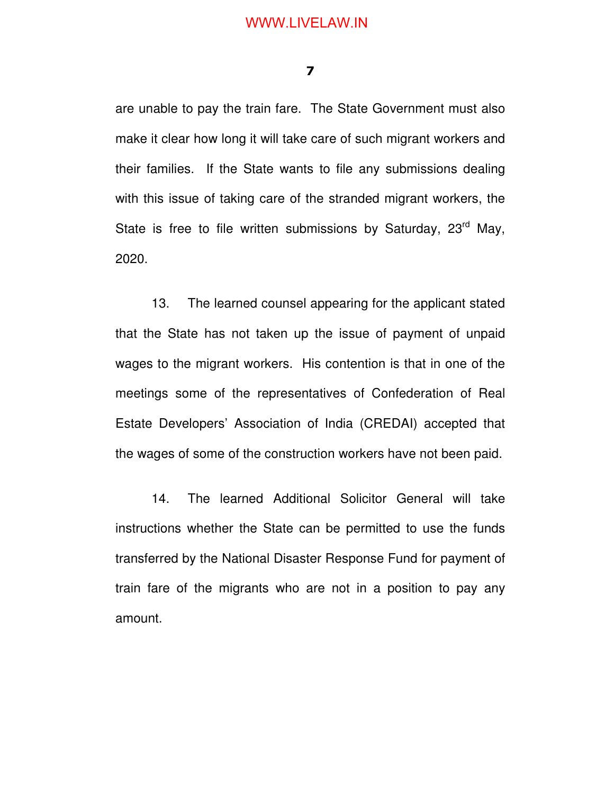**7** 

are unable to pay the train fare. The State Government must also make it clear how long it will take care of such migrant workers and their families. If the State wants to file any submissions dealing with this issue of taking care of the stranded migrant workers, the State is free to file written submissions by Saturday,  $23^{\text{rd}}$  May, 2020.

13. The learned counsel appearing for the applicant stated that the State has not taken up the issue of payment of unpaid wages to the migrant workers. His contention is that in one of the meetings some of the representatives of Confederation of Real Estate Developers' Association of India (CREDAI) accepted that the wages of some of the construction workers have not been paid.

14. The learned Additional Solicitor General will take instructions whether the State can be permitted to use the funds transferred by the National Disaster Response Fund for payment of train fare of the migrants who are not in a position to pay any amount.